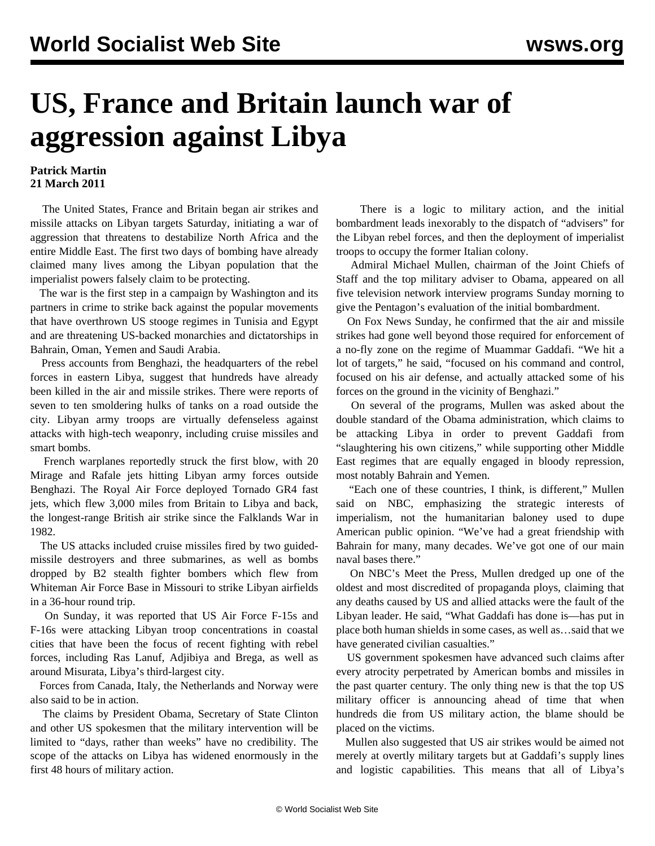## **US, France and Britain launch war of aggression against Libya**

## **Patrick Martin 21 March 2011**

 The United States, France and Britain began air strikes and missile attacks on Libyan targets Saturday, initiating a war of aggression that threatens to destabilize North Africa and the entire Middle East. The first two days of bombing have already claimed many lives among the Libyan population that the imperialist powers falsely claim to be protecting.

 The war is the first step in a campaign by Washington and its partners in crime to strike back against the popular movements that have overthrown US stooge regimes in Tunisia and Egypt and are threatening US-backed monarchies and dictatorships in Bahrain, Oman, Yemen and Saudi Arabia.

 Press accounts from Benghazi, the headquarters of the rebel forces in eastern Libya, suggest that hundreds have already been killed in the air and missile strikes. There were reports of seven to ten smoldering hulks of tanks on a road outside the city. Libyan army troops are virtually defenseless against attacks with high-tech weaponry, including cruise missiles and smart bombs.

 French warplanes reportedly struck the first blow, with 20 Mirage and Rafale jets hitting Libyan army forces outside Benghazi. The Royal Air Force deployed Tornado GR4 fast jets, which flew 3,000 miles from Britain to Libya and back, the longest-range British air strike since the Falklands War in 1982.

 The US attacks included cruise missiles fired by two guidedmissile destroyers and three submarines, as well as bombs dropped by B2 stealth fighter bombers which flew from Whiteman Air Force Base in Missouri to strike Libyan airfields in a 36-hour round trip.

 On Sunday, it was reported that US Air Force F-15s and F-16s were attacking Libyan troop concentrations in coastal cities that have been the focus of recent fighting with rebel forces, including Ras Lanuf, Adjibiya and Brega, as well as around Misurata, Libya's third-largest city.

 Forces from Canada, Italy, the Netherlands and Norway were also said to be in action.

 The claims by President Obama, Secretary of State Clinton and other US spokesmen that the military intervention will be limited to "days, rather than weeks" have no credibility. The scope of the attacks on Libya has widened enormously in the first 48 hours of military action.

 There is a logic to military action, and the initial bombardment leads inexorably to the dispatch of "advisers" for the Libyan rebel forces, and then the deployment of imperialist troops to occupy the former Italian colony.

 Admiral Michael Mullen, chairman of the Joint Chiefs of Staff and the top military adviser to Obama, appeared on all five television network interview programs Sunday morning to give the Pentagon's evaluation of the initial bombardment.

 On Fox News Sunday, he confirmed that the air and missile strikes had gone well beyond those required for enforcement of a no-fly zone on the regime of Muammar Gaddafi. "We hit a lot of targets," he said, "focused on his command and control, focused on his air defense, and actually attacked some of his forces on the ground in the vicinity of Benghazi."

 On several of the programs, Mullen was asked about the double standard of the Obama administration, which claims to be attacking Libya in order to prevent Gaddafi from "slaughtering his own citizens," while supporting other Middle East regimes that are equally engaged in bloody repression, most notably Bahrain and Yemen.

 "Each one of these countries, I think, is different," Mullen said on NBC, emphasizing the strategic interests of imperialism, not the humanitarian baloney used to dupe American public opinion. "We've had a great friendship with Bahrain for many, many decades. We've got one of our main naval bases there."

 On NBC's Meet the Press, Mullen dredged up one of the oldest and most discredited of propaganda ploys, claiming that any deaths caused by US and allied attacks were the fault of the Libyan leader. He said, "What Gaddafi has done is—has put in place both human shields in some cases, as well as…said that we have generated civilian casualties."

 US government spokesmen have advanced such claims after every atrocity perpetrated by American bombs and missiles in the past quarter century. The only thing new is that the top US military officer is announcing ahead of time that when hundreds die from US military action, the blame should be placed on the victims.

 Mullen also suggested that US air strikes would be aimed not merely at overtly military targets but at Gaddafi's supply lines and logistic capabilities. This means that all of Libya's